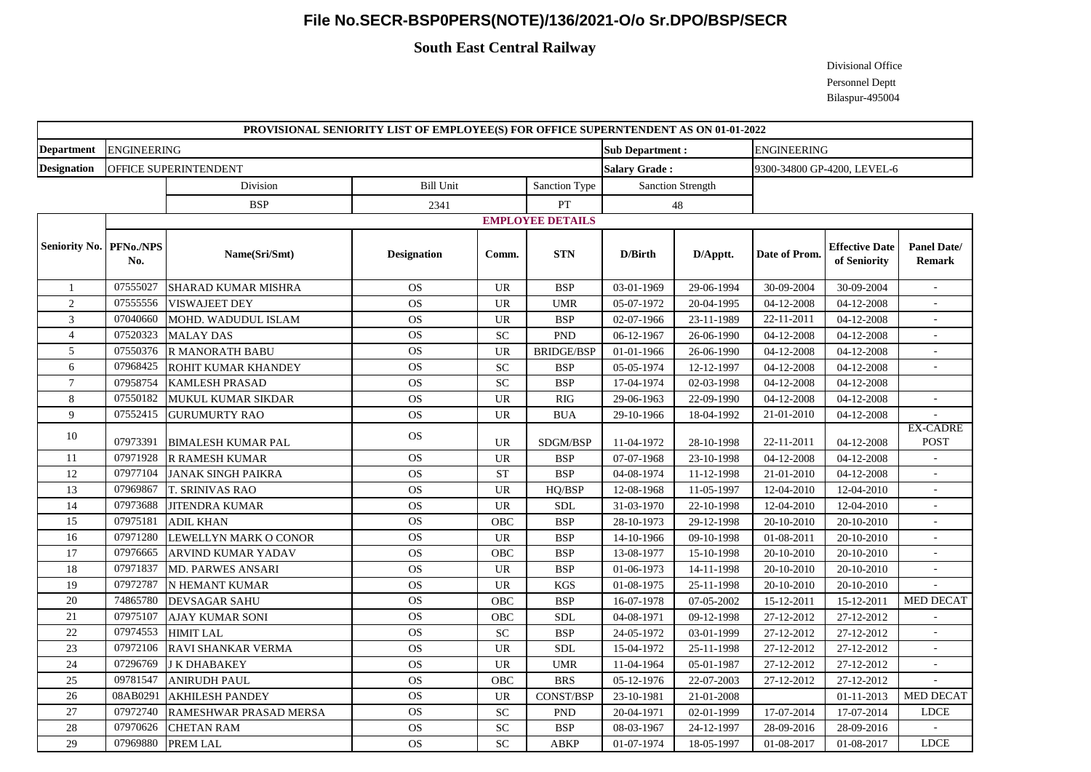## **File No.SECR-BSP0PERS(NOTE)/136/2021-O/o Sr.DPO/BSP/SECR**

## **South East Central Railway**

Divisional Office Personnel Deptt Bilaspur-495004

| PROVISIONAL SENIORITY LIST OF EMPLOYEE(S) FOR OFFICE SUPERNTENDENT AS ON 01-01-2022 |                         |                            |                    |                            |                   |                        |            |                             |                                       |                                     |  |
|-------------------------------------------------------------------------------------|-------------------------|----------------------------|--------------------|----------------------------|-------------------|------------------------|------------|-----------------------------|---------------------------------------|-------------------------------------|--|
| <b>Department</b>                                                                   | <b>ENGINEERING</b>      |                            |                    |                            |                   | <b>Sub Department:</b> |            | <b>ENGINEERING</b>          |                                       |                                     |  |
| <b>Designation</b>                                                                  | OFFICE SUPERINTENDENT   |                            |                    |                            |                   | <b>Salary Grade:</b>   |            | 9300-34800 GP-4200, LEVEL-6 |                                       |                                     |  |
|                                                                                     |                         | Division                   | <b>Bill Unit</b>   |                            | Sanction Type     | Sanction Strength      |            |                             |                                       |                                     |  |
|                                                                                     |                         | <b>BSP</b>                 | 2341               |                            | ${\cal PT}$       |                        | 48         |                             |                                       |                                     |  |
|                                                                                     | <b>EMPLOYEE DETAILS</b> |                            |                    |                            |                   |                        |            |                             |                                       |                                     |  |
| Seniority No. PFNo./NPS                                                             | No.                     | Name(Sri/Smt)              | <b>Designation</b> | Comm.                      | <b>STN</b>        | D/Birth                | D/Apptt.   | Date of Prom.               | <b>Effective Date</b><br>of Seniority | <b>Panel Date/</b><br><b>Remark</b> |  |
| -1                                                                                  | 07555027                | <b>SHARAD KUMAR MISHRA</b> | <b>OS</b>          | <b>UR</b>                  | <b>BSP</b>        | 03-01-1969             | 29-06-1994 | 30-09-2004                  | 30-09-2004                            |                                     |  |
| $\overline{2}$                                                                      | 07555556                | <b>VISWAJEET DEY</b>       | <b>OS</b>          | <b>UR</b>                  | <b>UMR</b>        | 05-07-1972             | 20-04-1995 | 04-12-2008                  | 04-12-2008                            |                                     |  |
| $\mathfrak{Z}$                                                                      | 07040660                | MOHD. WADUDUL ISLAM        | <b>OS</b>          | <b>UR</b>                  | <b>BSP</b>        | 02-07-1966             | 23-11-1989 | 22-11-2011                  | 04-12-2008                            |                                     |  |
| $\overline{4}$                                                                      | 07520323                | <b>MALAY DAS</b>           | <b>OS</b>          | <b>SC</b>                  | <b>PND</b>        | 06-12-1967             | 26-06-1990 | 04-12-2008                  | 04-12-2008                            |                                     |  |
| 5                                                                                   | 07550376                | <b>R MANORATH BABU</b>     | <b>OS</b>          | <b>UR</b>                  | <b>BRIDGE/BSP</b> | 01-01-1966             | 26-06-1990 | 04-12-2008                  | 04-12-2008                            |                                     |  |
| 6                                                                                   | 07968425                | ROHIT KUMAR KHANDEY        | <b>OS</b>          | SC                         | <b>BSP</b>        | 05-05-1974             | 12-12-1997 | 04-12-2008                  | 04-12-2008                            |                                     |  |
| $\overline{7}$                                                                      | 07958754                | <b>KAMLESH PRASAD</b>      | <b>OS</b>          | $\ensuremath{\mathbf{SC}}$ | <b>BSP</b>        | 17-04-1974             | 02-03-1998 | 04-12-2008                  | 04-12-2008                            |                                     |  |
| 8                                                                                   | 07550182                | MUKUL KUMAR SIKDAR         | <b>OS</b>          | <b>UR</b>                  | <b>RIG</b>        | 29-06-1963             | 22-09-1990 | 04-12-2008                  | 04-12-2008                            |                                     |  |
| $\overline{9}$                                                                      | 07552415                | <b>GURUMURTY RAO</b>       | <b>OS</b>          | <b>UR</b>                  | <b>BUA</b>        | 29-10-1966             | 18-04-1992 | 21-01-2010                  | 04-12-2008                            |                                     |  |
| 10                                                                                  | 07973391                | <b>BIMALESH KUMAR PAL</b>  | <b>OS</b>          | <b>UR</b>                  | SDGM/BSP          | 11-04-1972             | 28-10-1998 | 22-11-2011                  | 04-12-2008                            | <b>EX-CADRE</b><br><b>POST</b>      |  |
| 11                                                                                  | 07971928                | R RAMESH KUMAR             | <b>OS</b>          | <b>UR</b>                  | <b>BSP</b>        | 07-07-1968             | 23-10-1998 | 04-12-2008                  | 04-12-2008                            |                                     |  |
| 12                                                                                  | 07977104                | <b>JANAK SINGH PAIKRA</b>  | <b>OS</b>          | <b>ST</b>                  | <b>BSP</b>        | 04-08-1974             | 11-12-1998 | 21-01-2010                  | 04-12-2008                            |                                     |  |
| 13                                                                                  | 07969867                | <b>T. SRINIVAS RAO</b>     | <b>OS</b>          | <b>UR</b>                  | HQ/BSP            | 12-08-1968             | 11-05-1997 | 12-04-2010                  | 12-04-2010                            |                                     |  |
| 14                                                                                  | 07973688                | <b>JITENDRA KUMAR</b>      | <b>OS</b>          | <b>UR</b>                  | <b>SDL</b>        | 31-03-1970             | 22-10-1998 | 12-04-2010                  | 12-04-2010                            |                                     |  |
| 15                                                                                  | 07975181                | <b>ADIL KHAN</b>           | <b>OS</b>          | OBC                        | <b>BSP</b>        | 28-10-1973             | 29-12-1998 | 20-10-2010                  | 20-10-2010                            | $\sim$                              |  |
| 16                                                                                  | 07971280                | LEWELLYN MARK O CONOR      | <b>OS</b>          | <b>UR</b>                  | <b>BSP</b>        | 14-10-1966             | 09-10-1998 | 01-08-2011                  | 20-10-2010                            |                                     |  |
| 17                                                                                  | 07976665                | ARVIND KUMAR YADAV         | <b>OS</b>          | OBC                        | <b>BSP</b>        | 13-08-1977             | 15-10-1998 | 20-10-2010                  | 20-10-2010                            |                                     |  |
| 18                                                                                  | 07971837                | <b>MD. PARWES ANSARI</b>   | <b>OS</b>          | <b>UR</b>                  | <b>BSP</b>        | 01-06-1973             | 14-11-1998 | 20-10-2010                  | 20-10-2010                            |                                     |  |
| 19                                                                                  | 07972787                | N HEMANT KUMAR             | <b>OS</b>          | <b>UR</b>                  | KGS               | 01-08-1975             | 25-11-1998 | 20-10-2010                  | 20-10-2010                            |                                     |  |
| 20                                                                                  | 74865780                | <b>DEVSAGAR SAHU</b>       | <b>OS</b>          | <b>OBC</b>                 | <b>BSP</b>        | 16-07-1978             | 07-05-2002 | 15-12-2011                  | 15-12-2011                            | <b>MED DECAT</b>                    |  |
| 21                                                                                  | 07975107                | <b>AJAY KUMAR SONI</b>     | <b>OS</b>          | <b>OBC</b>                 | <b>SDL</b>        | 04-08-1971             | 09-12-1998 | 27-12-2012                  | 27-12-2012                            |                                     |  |
| 22                                                                                  | 07974553                | <b>HIMIT LAL</b>           | <b>OS</b>          | $\ensuremath{\mathbf{SC}}$ | <b>BSP</b>        | 24-05-1972             | 03-01-1999 | 27-12-2012                  | 27-12-2012                            |                                     |  |
| 23                                                                                  | 07972106                | RAVI SHANKAR VERMA         | <b>OS</b>          | <b>UR</b>                  | <b>SDL</b>        | 15-04-1972             | 25-11-1998 | 27-12-2012                  | 27-12-2012                            |                                     |  |
| 24                                                                                  | 07296769                | <b>J K DHABAKEY</b>        | <b>OS</b>          | <b>UR</b>                  | <b>UMR</b>        | 11-04-1964             | 05-01-1987 | 27-12-2012                  | 27-12-2012                            |                                     |  |
| 25                                                                                  | 09781547                | <b>ANIRUDH PAUL</b>        | <b>OS</b>          | OBC                        | <b>BRS</b>        | 05-12-1976             | 22-07-2003 | 27-12-2012                  | 27-12-2012                            |                                     |  |
| 26                                                                                  | 08AB0291                | <b>AKHILESH PANDEY</b>     | <b>OS</b>          | <b>UR</b>                  | CONST/BSP         | 23-10-1981             | 21-01-2008 |                             | 01-11-2013                            | <b>MED DECAT</b>                    |  |
| 27                                                                                  | 07972740                | RAMESHWAR PRASAD MERSA     | <b>OS</b>          | <b>SC</b>                  | <b>PND</b>        | 20-04-1971             | 02-01-1999 | 17-07-2014                  | 17-07-2014                            | <b>LDCE</b>                         |  |
| 28                                                                                  | 07970626                | <b>CHETAN RAM</b>          | <b>OS</b>          | SC                         | <b>BSP</b>        | 08-03-1967             | 24-12-1997 | 28-09-2016                  | 28-09-2016                            |                                     |  |
| 29                                                                                  | 07969880                | PREM LAL                   | <b>OS</b>          | <b>SC</b>                  | <b>ABKP</b>       | 01-07-1974             | 18-05-1997 | 01-08-2017                  | 01-08-2017                            | <b>LDCE</b>                         |  |